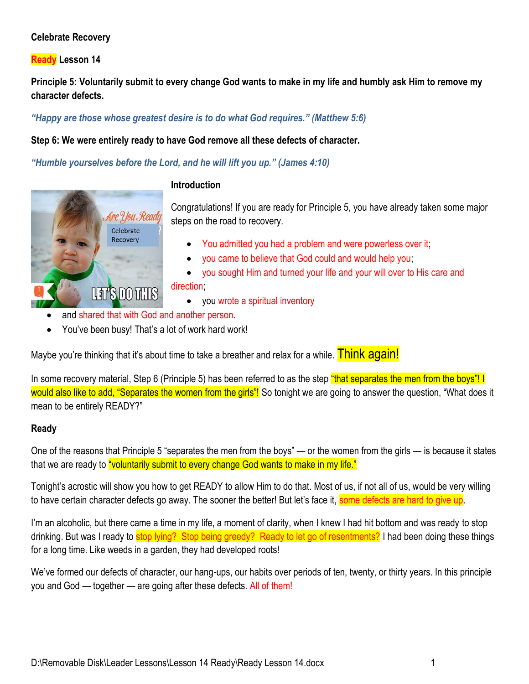## **Celebrate Recovery**

## **Ready Lesson 14**

**Principle 5: Voluntarily submit to every change God wants to make in my life and humbly ask Him to remove my character defects.** 

*"Happy are those whose greatest desire is to do what God requires." (Matthew 5:6)* 

### **Step 6: We were entirely ready to have God remove all these defects of character.**

*"Humble yourselves before the Lord, and he will lift you up." (James 4:10)*



#### **Introduction**

Congratulations! If you are ready for Principle 5, you have already taken some major steps on the road to recovery.

- You admitted you had a problem and were powerless over it;
- you came to believe that God could and would help you;
- you sought Him and turned your life and your will over to His care and direction;
	- you wrote a spiritual inventory
- and shared that with God and another person.
- You've been busy! That's a lot of work hard work!

Maybe you're thinking that it's about time to take a breather and relax for a while. Think again!

In some recovery material, Step 6 (Principle 5) has been referred to as the step "that separates the men from the boys"! I would also like to add, "Separates the women from the girls"! So tonight we are going to answer the question, "What does it mean to be entirely READY?"

### **Ready**

One of the reasons that Principle 5 "separates the men from the boys" — or the women from the girls — is because it states that we are ready to "voluntarily submit to every change God wants to make in my life."

Tonight's acrostic will show you how to get READY to allow Him to do that. Most of us, if not all of us, would be very willing to have certain character defects go away. The sooner the better! But let's face it, some defects are hard to give up.

I'm an alcoholic, but there came a time in my life, a moment of clarity, when I knew I had hit bottom and was ready to stop drinking. But was I ready to stop lying? Stop being greedy? Ready to let go of resentments? I had been doing these things for a long time. Like weeds in a garden, they had developed roots!

We've formed our defects of character, our hang-ups, our habits over periods of ten, twenty, or thirty years. In this principle you and God — together — are going after these defects. All of them!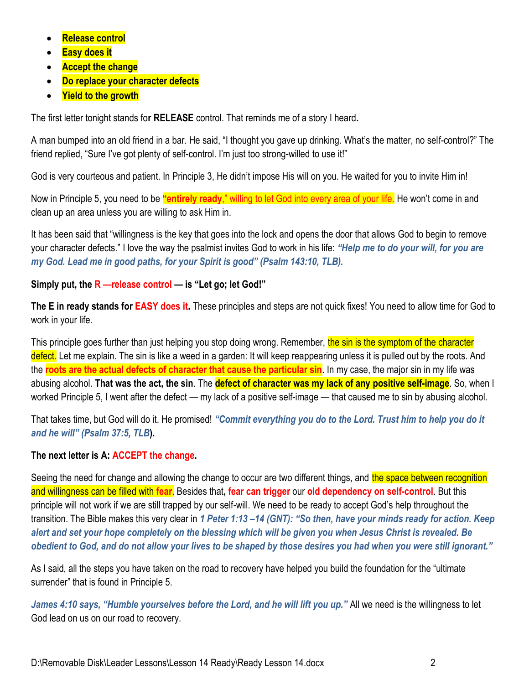- **Release control**
- **Easy does it**
- **Accept the change**
- **Do replace your character defects**
- **Yield to the growth**

The first letter tonight stands fo**r RELEASE** control. That reminds me of a story I heard**.** 

A man bumped into an old friend in a bar. He said, "I thought you gave up drinking. What's the matter, no self-control?" The friend replied, "Sure I've got plenty of self-control. I'm just too strong-willed to use it!"

God is very courteous and patient. In Principle 3, He didn't impose His will on you. He waited for you to invite Him in!

Now in Principle 5, you need to be **"entirely ready**," willing to let God into every area of your life. He won't come in and clean up an area unless you are willing to ask Him in.

It has been said that "willingness is the key that goes into the lock and opens the door that allows God to begin to remove your character defects." I love the way the psalmist invites God to work in his life: *"Help me to do your will, for you are my God. Lead me in good paths, for your Spirit is good" (Psalm 143:10, TLB).* 

## **Simply put, the R —release control — is "Let go; let God!"**

**The E in ready stands for EASY does it.** These principles and steps are not quick fixes! You need to allow time for God to work in your life.

This principle goes further than just helping you stop doing wrong. Remember, the sin is the symptom of the character defect. Let me explain. The sin is like a weed in a garden: It will keep reappearing unless it is pulled out by the roots. And the **roots are the actual defects of character that cause the particular sin**. In my case, the major sin in my life was abusing alcohol. **That was the act, the sin**. The **defect of character was my lack of any positive self-image**. So, when I worked Principle 5, I went after the defect — my lack of a positive self-image — that caused me to sin by abusing alcohol.

That takes time, but God will do it. He promised! *"Commit everything you do to the Lord. Trust him to help you do it and he will" (Psalm 37:5, TLB***).** 

# **The next letter is A: ACCEPT the change.**

Seeing the need for change and allowing the change to occur are two different things, and the space between recognition and willingness can be filled with **fear**. Besides that**, fear can trigger** our **old dependency on self-control**. But this principle will not work if we are still trapped by our self-will. We need to be ready to accept God's help throughout the transition. The Bible makes this very clear in *1 Peter 1:13 –14 (GNT): "So then, have your minds ready for action. Keep alert and set your hope completely on the blessing which will be given you when Jesus Christ is revealed. Be obedient to God, and do not allow your lives to be shaped by those desires you had when you were still ignorant."* 

As I said, all the steps you have taken on the road to recovery have helped you build the foundation for the "ultimate surrender" that is found in Principle 5.

*James 4:10 says, "Humble yourselves before the Lord, and he will lift you up."* All we need is the willingness to let God lead on us on our road to recovery.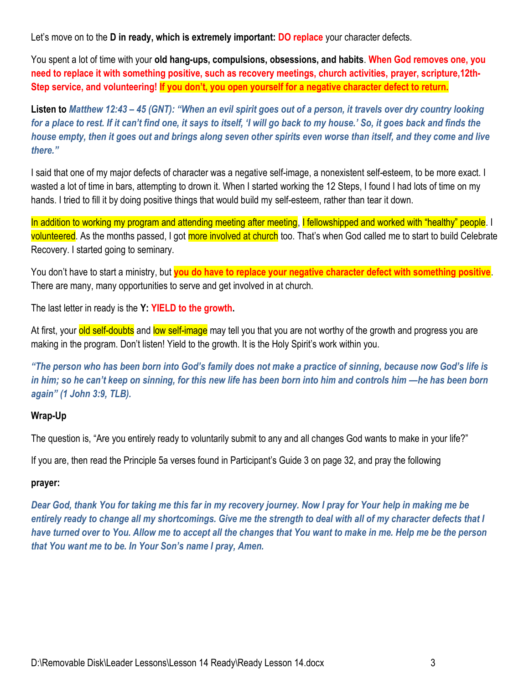Let's move on to the **D in ready, which is extremely important: DO replace** your character defects.

You spent a lot of time with your **old hang-ups, compulsions, obsessions, and habits**. **When God removes one, you need to replace it with something positive, such as recovery meetings, church activities, prayer, scripture,12th-Step service, and volunteering! If you don't, you open yourself for a negative character defect to return.**

**Listen to** *Matthew 12:43 – 45 (GNT): "When an evil spirit goes out of a person, it travels over dry country looking for a place to rest. If it can't find one, it says to itself, 'I will go back to my house.' So, it goes back and finds the house empty, then it goes out and brings along seven other spirits even worse than itself, and they come and live there."* 

I said that one of my major defects of character was a negative self-image, a nonexistent self-esteem, to be more exact. I wasted a lot of time in bars, attempting to drown it. When I started working the 12 Steps, I found I had lots of time on my hands. I tried to fill it by doing positive things that would build my self-esteem, rather than tear it down.

In addition to working my program and attending meeting after meeting, I fellowshipped and worked with "healthy" people. I volunteered. As the months passed, I got more involved at church too. That's when God called me to start to build Celebrate Recovery. I started going to seminary.

You don't have to start a ministry, but **you do have to replace your negative character defect with something positive**. There are many, many opportunities to serve and get involved in at church.

The last letter in ready is the **Y: YIELD to the growth.** 

At first, your old self-doubts and low self-image may tell you that you are not worthy of the growth and progress you are making in the program. Don't listen! Yield to the growth. It is the Holy Spirit's work within you.

*"The person who has been born into God's family does not make a practice of sinning, because now God's life is in him; so he can't keep on sinning, for this new life has been born into him and controls him —he has been born again" (1 John 3:9, TLB).* 

### **Wrap-Up**

The question is, "Are you entirely ready to voluntarily submit to any and all changes God wants to make in your life?"

If you are, then read the Principle 5a verses found in Participant's Guide 3 on page 32, and pray the following

### **prayer:**

*Dear God, thank You for taking me this far in my recovery journey. Now I pray for Your help in making me be entirely ready to change all my shortcomings. Give me the strength to deal with all of my character defects that I have turned over to You. Allow me to accept all the changes that You want to make in me. Help me be the person that You want me to be. In Your Son's name I pray, Amen.*